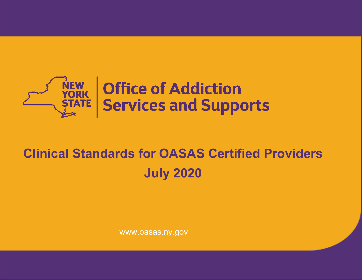

# **Clinical Standards for OASAS Certified Providers July 2020**

Date: July 2020

www.oasas.ny.gov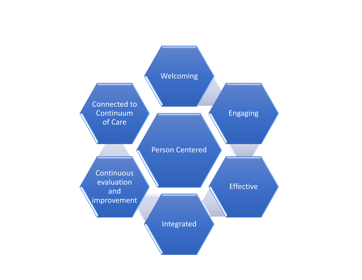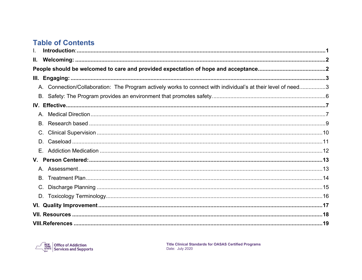# **Table of Contents**

| Н.   |                                                                                                              |  |
|------|--------------------------------------------------------------------------------------------------------------|--|
|      |                                                                                                              |  |
| III. |                                                                                                              |  |
|      | A. Connection/Collaboration: The Program actively works to connect with individual's at their level of need3 |  |
|      |                                                                                                              |  |
|      |                                                                                                              |  |
|      |                                                                                                              |  |
|      |                                                                                                              |  |
| C.   |                                                                                                              |  |
|      |                                                                                                              |  |
|      |                                                                                                              |  |
|      |                                                                                                              |  |
|      |                                                                                                              |  |
|      |                                                                                                              |  |
|      |                                                                                                              |  |
|      |                                                                                                              |  |
|      |                                                                                                              |  |
|      |                                                                                                              |  |
|      |                                                                                                              |  |

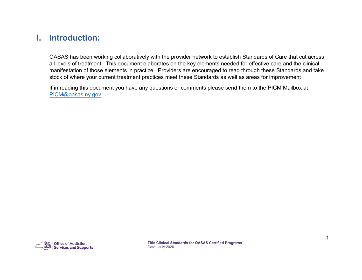# <span id="page-3-0"></span>**I. Introduction:**

OASAS has been working collaboratively with the provider network to establish Standards of Care that cut across all levels of treatment. This document elaborates on the key elements needed for effective care and the clinical manifestation of those elements in practice. Providers are encouraged to read through these Standards and take stock of where your current treatment practices meet these Standards as well as areas for improvement

<span id="page-3-1"></span>If in reading this document you have any questions or comments please send them to the PICM Mailbox at [PICM@oasas.ny.gov](mailto:PICM@oasas.ny.gov)

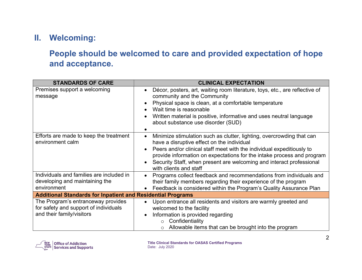# <span id="page-4-0"></span>**II. Welcoming:**

# **People should be welcomed to care and provided expectation of hope and acceptance.**

| <b>STANDARDS OF CARE</b>                                                                                 | <b>CLINICAL EXPECTATION</b>                                                                                                                                                                                                                                                                                                                                                           |  |
|----------------------------------------------------------------------------------------------------------|---------------------------------------------------------------------------------------------------------------------------------------------------------------------------------------------------------------------------------------------------------------------------------------------------------------------------------------------------------------------------------------|--|
| Premises support a welcoming<br>message                                                                  | Décor, posters, art, waiting room literature, toys, etc., are reflective of<br>$\bullet$<br>community and the Community<br>Physical space is clean, at a comfortable temperature<br>Wait time is reasonable<br>$\bullet$<br>Written material is positive, informative and uses neutral language<br>about substance use disorder (SUD)                                                 |  |
| Efforts are made to keep the treatment<br>environment calm                                               | Minimize stimulation such as clutter, lighting, overcrowding that can<br>$\bullet$<br>have a disruptive effect on the individual<br>Peers and/or clinical staff meet with the individual expeditiously to<br>provide information on expectations for the intake process and program<br>Security Staff, when present are welcoming and interact professional<br>with clients and staff |  |
| Individuals and families are included in<br>developing and maintaining the<br>environment                | Programs collect feedback and recommendations from individuals and<br>$\bullet$<br>their family members regarding their experience of the program<br>Feedback is considered within the Program's Quality Assurance Plan                                                                                                                                                               |  |
| <b>Additional Standards for Inpatient and Residential Programs</b>                                       |                                                                                                                                                                                                                                                                                                                                                                                       |  |
| The Program's entranceway provides<br>for safety and support of individuals<br>and their family/visitors | Upon entrance all residents and visitors are warmly greeted and<br>$\bullet$<br>welcomed to the facility<br>Information is provided regarding<br>$\bullet$<br>Confidentiality<br>$\circ$<br>Allowable items that can be brought into the program                                                                                                                                      |  |

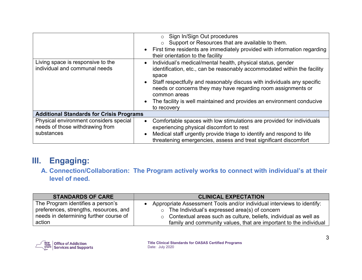|                                                                                         | $\circ$ Sign In/Sign Out procedures<br>o Support or Resources that are available to them.<br>• First time residents are immediately provided with information regarding<br>their orientation to the facility                                                                                                                                                                                                                   |  |
|-----------------------------------------------------------------------------------------|--------------------------------------------------------------------------------------------------------------------------------------------------------------------------------------------------------------------------------------------------------------------------------------------------------------------------------------------------------------------------------------------------------------------------------|--|
| Living space is responsive to the<br>individual and communal needs                      | Individual's medical/mental health, physical status, gender<br>$\bullet$<br>identification, etc., can be reasonably accommodated within the facility<br>space<br>Staff respectfully and reasonably discuss with individuals any specific<br>needs or concerns they may have regarding room assignments or<br>common areas<br>The facility is well maintained and provides an environment conducive<br>$\bullet$<br>to recovery |  |
| <b>Additional Standards for Crisis Programs</b>                                         |                                                                                                                                                                                                                                                                                                                                                                                                                                |  |
| Physical environment considers special<br>needs of those withdrawing from<br>substances | Comfortable spaces with low stimulations are provided for individuals<br>$\bullet$<br>experiencing physical discomfort to rest<br>Medical staff urgently provide triage to identify and respond to life<br>$\bullet$<br>threatening emergencies, assess and treat significant discomfort                                                                                                                                       |  |

# <span id="page-5-0"></span>**III. Engaging:**

<span id="page-5-1"></span>**A. Connection/Collaboration: The Program actively works to connect with individual's at their level of need.**

| <b>STANDARDS OF CARE</b>               | <b>CLINICAL EXPECTATION</b>                                              |
|----------------------------------------|--------------------------------------------------------------------------|
| The Program identifies a person's      | Appropriate Assessment Tools and/or individual interviews to identify:   |
| preferences, strengths, resources, and | $\circ$ The Individual's expressed area(s) of concern                    |
| needs in determining further course of | $\circ$ Contextual areas such as culture, beliefs, individual as well as |
| action                                 | family and community values, that are important to the individual        |

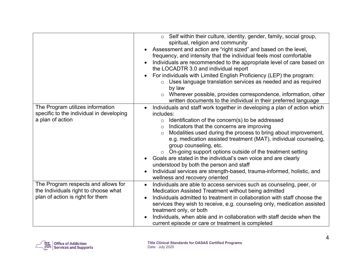|                                                                                                                 | $\circ$ Self within their culture, identity, gender, family, social group,<br>spiritual, religion and community<br>Assessment and action are "right sized" and based on the level,<br>frequency, and intensity that the individual feels most comfortable<br>Individuals are recommended to the appropriate level of care based on<br>the LOCADTR 3.0 and individual report<br>For individuals with Limited English Proficiency (LEP) the program:<br>Uses language translation services as needed and as required<br>$\circ$<br>by law<br>Wherever possible, provides correspondence, information, other<br>$\circ$<br>written documents to the individual in their preferred language                                          |
|-----------------------------------------------------------------------------------------------------------------|----------------------------------------------------------------------------------------------------------------------------------------------------------------------------------------------------------------------------------------------------------------------------------------------------------------------------------------------------------------------------------------------------------------------------------------------------------------------------------------------------------------------------------------------------------------------------------------------------------------------------------------------------------------------------------------------------------------------------------|
| The Program utilizes information<br>specific to the individual in developing<br>a plan of action                | Individuals and staff work together in developing a plan of action which<br>$\bullet$<br>includes:<br>Identification of the concern(s) to be addressed<br>$\circ$<br>Indicators that the concerns are improving<br>$\circ$<br>Modalities used during the process to bring about improvement,<br>$\circ$<br>e.g. medication assisted treatment (MAT), individual counseling,<br>group counseling, etc.<br>On-going support options outside of the treatment setting<br>$\circ$<br>Goals are stated in the individual's own voice and are clearly<br>$\bullet$<br>understood by both the person and staff<br>Individual services are strength-based, trauma-informed, holistic, and<br>$\bullet$<br>wellness and recovery oriented |
| The Program respects and allows for<br>the Individuals right to choose what<br>plan of action is right for them | Individuals are able to access services such as counseling, peer, or<br>$\bullet$<br>Medication Assisted Treatment without being admitted<br>Individuals admitted to treatment in collaboration with staff choose the<br>$\bullet$<br>services they wish to receive, e.g. counseling only, medication assisted<br>treatment only, or both<br>Individuals, when able and in collaboration with staff decide when the<br>current episode or care or treatment is completed                                                                                                                                                                                                                                                         |

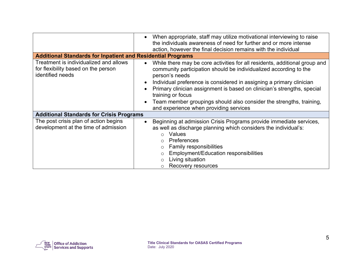| <b>Additional Standards for Inpatient and Residential Programs</b>                                | When appropriate, staff may utilize motivational interviewing to raise<br>$\bullet$<br>the individuals awareness of need for further and or more intense<br>action, however the final decision remains with the individual                                                                                                                                                                                                                                                           |  |
|---------------------------------------------------------------------------------------------------|--------------------------------------------------------------------------------------------------------------------------------------------------------------------------------------------------------------------------------------------------------------------------------------------------------------------------------------------------------------------------------------------------------------------------------------------------------------------------------------|--|
| Treatment is individualized and allows<br>for flexibility based on the person<br>identified needs | While there may be core activities for all residents, additional group and<br>$\bullet$<br>community participation should be individualized according to the<br>person's needs<br>Individual preference is considered in assigning a primary clinician<br>$\bullet$<br>Primary clinician assignment is based on clinician's strengths, special<br>training or focus<br>Team member groupings should also consider the strengths, training,<br>and experience when providing services |  |
| <b>Additional Standards for Crisis Programs</b>                                                   |                                                                                                                                                                                                                                                                                                                                                                                                                                                                                      |  |
| The post crisis plan of action begins<br>development at the time of admission                     | Beginning at admission Crisis Programs provide immediate services,<br>$\bullet$<br>as well as discharge planning which considers the individual's:<br>o Values<br>Preferences<br><b>Family responsibilities</b><br><b>Employment/Education responsibilities</b><br>O<br>Living situation<br>O<br>Recovery resources                                                                                                                                                                  |  |

<span id="page-7-0"></span>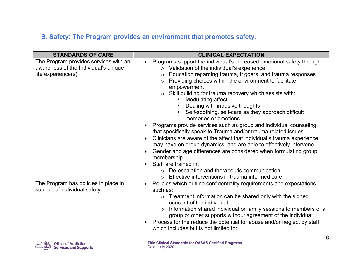## **B. Safety: The Program provides an environment that promotes safety.**

| <b>STANDARDS OF CARE</b>                                                                            | <b>CLINICAL EXPECTATION</b>                                                                                                                                                                                                                                                                                                                                                                                                                                                                                                                                                                                                                                                                                                                                                                                                                                                                                                                                                                                                                                    |
|-----------------------------------------------------------------------------------------------------|----------------------------------------------------------------------------------------------------------------------------------------------------------------------------------------------------------------------------------------------------------------------------------------------------------------------------------------------------------------------------------------------------------------------------------------------------------------------------------------------------------------------------------------------------------------------------------------------------------------------------------------------------------------------------------------------------------------------------------------------------------------------------------------------------------------------------------------------------------------------------------------------------------------------------------------------------------------------------------------------------------------------------------------------------------------|
| The Program provides services with an<br>awareness of the Individual's unique<br>life experience(s) | Programs support the individual's increased emotional safety through:<br>$\bullet$<br>Validation of the individual's experience<br>$\circ$<br>Education regarding trauma, triggers, and trauma responses<br>$\circ$<br>Providing choices within the environment to facilitate<br>$\circ$<br>empowerment<br>Skill building for trauma recovery which assists with:<br>$\circ$<br>Modulating affect<br>Dealing with intrusive thoughts<br>Self-soothing, self-care as they approach difficult<br>memories or emotions<br>Programs provide services such as group and individual counseling<br>that specifically speak to Trauma and/or trauma related issues<br>Clinicians are aware of the affect that individual's trauma experience<br>$\bullet$<br>may have on group dynamics, and are able to effectively intervene<br>Gender and age differences are considered when formulating group<br>$\bullet$<br>membership<br>Staff are trained in:<br>o De-escalation and therapeutic communication<br>Effective interventions in trauma informed care<br>$\Omega$ |
| The Program has policies in place in<br>support of individual safety                                | Policies which outline confidentiality requirements and expectations<br>$\bullet$<br>such as:<br>Treatment information can be shared only with the signed<br>$\circ$<br>consent of the individual<br>Information shared individual or family sessions to members of a<br>$\circ$<br>group or other supports without agreement of the individual<br>Process for the reduce the potential for abuse and/or neglect by staff<br>which includes but is not limited to:                                                                                                                                                                                                                                                                                                                                                                                                                                                                                                                                                                                             |

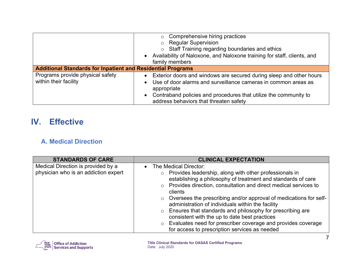|                                                                    | o Comprehensive hiring practices                                                 |  |
|--------------------------------------------------------------------|----------------------------------------------------------------------------------|--|
|                                                                    | o Regular Supervision                                                            |  |
|                                                                    | ○ Staff Training regarding boundaries and ethics                                 |  |
|                                                                    | • Availability of Naloxone, and Naloxone training for staff, clients, and        |  |
|                                                                    | family members                                                                   |  |
| <b>Additional Standards for Inpatient and Residential Programs</b> |                                                                                  |  |
| Programs provide physical safety                                   | Exterior doors and windows are secured during sleep and other hours<br>$\bullet$ |  |
| within their facility                                              | Use of door alarms and surveillance cameras in common areas as<br>$\bullet$      |  |
|                                                                    | appropriate                                                                      |  |
|                                                                    | Contraband policies and procedures that utilize the community to<br>$\bullet$    |  |
|                                                                    | address behaviors that threaten safety                                           |  |

# <span id="page-9-0"></span>**IV. Effective**

#### <span id="page-9-1"></span>**A. Medical Direction**

| <b>STANDARDS OF CARE</b>                                                   | <b>CLINICAL EXPECTATION</b>                                                                                                                                                                                                                                                                                                                                                                                                                                                                            |
|----------------------------------------------------------------------------|--------------------------------------------------------------------------------------------------------------------------------------------------------------------------------------------------------------------------------------------------------------------------------------------------------------------------------------------------------------------------------------------------------------------------------------------------------------------------------------------------------|
| Medical Direction is provided by a<br>physician who is an addiction expert | The Medical Director:<br>$\bullet$<br>$\circ$ Provides leadership, along with other professionals in<br>establishing a philosophy of treatment and standards of care<br>○ Provides direction, consultation and direct medical services to<br>clients<br>$\circ$ Oversees the prescribing and/or approval of medications for self-<br>administration of individuals within the facility<br>○ Ensures that standards and philosophy for prescribing are<br>consistent with the up to date best practices |
|                                                                            | o Evaluates need for prescriber coverage and provides coverage<br>for access to prescription services as needed                                                                                                                                                                                                                                                                                                                                                                                        |

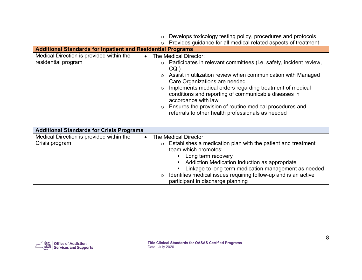|                                                                    | Develops toxicology testing policy, procedures and protocols<br>$\circ$<br>o Provides guidance for all medical related aspects of treatment                                                                                                                                                                                                                                                                          |
|--------------------------------------------------------------------|----------------------------------------------------------------------------------------------------------------------------------------------------------------------------------------------------------------------------------------------------------------------------------------------------------------------------------------------------------------------------------------------------------------------|
| <b>Additional Standards for Inpatient and Residential Programs</b> |                                                                                                                                                                                                                                                                                                                                                                                                                      |
| Medical Direction is provided within the                           | The Medical Director:<br>$\bullet$                                                                                                                                                                                                                                                                                                                                                                                   |
| residential program                                                | Participates in relevant committees (i.e. safety, incident review,<br>$\circ$<br>CQI)<br>o Assist in utilization review when communication with Managed<br>Care Organizations are needed<br>Implements medical orders regarding treatment of medical<br>$\circ$<br>conditions and reporting of communicable diseases in<br>accordance with law<br>Ensures the provision of routine medical procedures and<br>$\circ$ |
|                                                                    | referrals to other health professionals as needed                                                                                                                                                                                                                                                                                                                                                                    |

| <b>Additional Standards for Crisis Programs</b>            |                                                                                                                                                                                                                                                                        |  |
|------------------------------------------------------------|------------------------------------------------------------------------------------------------------------------------------------------------------------------------------------------------------------------------------------------------------------------------|--|
| Medical Direction is provided within the<br>Crisis program | The Medical Director<br>$\bullet$<br>$\circ$ Establishes a medication plan with the patient and treatment<br>team which promotes:<br>• Long term recovery<br>• Addiction Medication Induction as appropriate<br>• Linkage to long term medication management as needed |  |
|                                                            | Identifies medical issues requiring follow-up and is an active<br>$\circ$<br>participant in discharge planning                                                                                                                                                         |  |

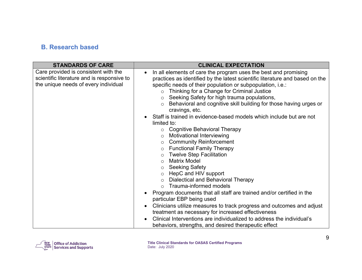#### <span id="page-11-0"></span>**B. Research based**

| <b>STANDARDS OF CARE</b>                                                                                                   | <b>CLINICAL EXPECTATION</b>                                                                                                                                                                                                                                                                                                                                                                                                                                                                                                                                                                                                                                                                                                                                                                                                                                                                                                                                                                                                                                                                                                                                                                                                                                                                                                                                              |
|----------------------------------------------------------------------------------------------------------------------------|--------------------------------------------------------------------------------------------------------------------------------------------------------------------------------------------------------------------------------------------------------------------------------------------------------------------------------------------------------------------------------------------------------------------------------------------------------------------------------------------------------------------------------------------------------------------------------------------------------------------------------------------------------------------------------------------------------------------------------------------------------------------------------------------------------------------------------------------------------------------------------------------------------------------------------------------------------------------------------------------------------------------------------------------------------------------------------------------------------------------------------------------------------------------------------------------------------------------------------------------------------------------------------------------------------------------------------------------------------------------------|
| Care provided is consistent with the<br>scientific literature and is responsive to<br>the unique needs of every individual | In all elements of care the program uses the best and promising<br>$\bullet$<br>practices as identified by the latest scientific literature and based on the<br>specific needs of their population or subpopulation, i.e.:<br>Thinking for a Change for Criminal Justice<br>$\circ$<br>Seeking Safety for high trauma populations,<br>$\circ$<br>Behavioral and cognitive skill building for those having urges or<br>$\circ$<br>cravings, etc.<br>Staff is trained in evidence-based models which include but are not<br>limited to:<br><b>Cognitive Behavioral Therapy</b><br>$\circ$<br>Motivational Interviewing<br>$\circ$<br><b>Community Reinforcement</b><br>$\circ$<br><b>Functional Family Therapy</b><br>$\circ$<br><b>Twelve Step Facilitation</b><br>$\circ$<br><b>Matrix Model</b><br>$\circ$<br><b>Seeking Safety</b><br>$\circ$<br>HepC and HIV support<br>$\circ$<br>Dialectical and Behavioral Therapy<br>$\circ$<br>Trauma-informed models<br>$\Omega$<br>Program documents that all staff are trained and/or certified in the<br>particular EBP being used<br>Clinicians utilize measures to track progress and outcomes and adjust<br>$\bullet$<br>treatment as necessary for increased effectiveness<br>Clinical Interventions are individualized to address the individual's<br>$\bullet$<br>behaviors, strengths, and desired therapeutic effect |

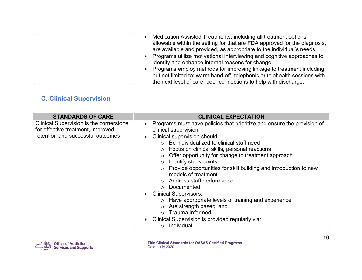| Medication Assisted Treatments, including all treatment options<br>$\bullet$<br>allowable within the setting for that are FDA approved for the diagnosis,<br>are available and provided, as appropriate to the individual's needs.<br>• Programs utilize motivational interviewing and cognitive approaches to<br>identify and enhance internal reasons for change.<br>• Programs employ methods for improving linkage to treatment including, |
|------------------------------------------------------------------------------------------------------------------------------------------------------------------------------------------------------------------------------------------------------------------------------------------------------------------------------------------------------------------------------------------------------------------------------------------------|
| but not limited to: warm hand-off, telephonic or telehealth sessions with<br>the next level of care, peer connections to help with discharge.                                                                                                                                                                                                                                                                                                  |

## <span id="page-12-0"></span>**C. Clinical Supervision**

| <b>STANDARDS OF CARE</b>                                                                                                 | <b>CLINICAL EXPECTATION</b>                                                                                                                                                                                                                                                                                                                                                                                                                                                                                                                                                                                                                                                                                                                                           |
|--------------------------------------------------------------------------------------------------------------------------|-----------------------------------------------------------------------------------------------------------------------------------------------------------------------------------------------------------------------------------------------------------------------------------------------------------------------------------------------------------------------------------------------------------------------------------------------------------------------------------------------------------------------------------------------------------------------------------------------------------------------------------------------------------------------------------------------------------------------------------------------------------------------|
| <b>Clinical Supervision is the cornerstone</b><br>for effective treatment, improved<br>retention and successful outcomes | Programs must have policies that prioritize and ensure the provision of<br>$\bullet$<br>clinical supervision<br>Clinical supervision should:<br>$\bullet$<br>$\circ$ Be individualized to clinical staff need<br>Focus on clinical skills, personal reactions<br>$\circ$<br>Offer opportunity for change to treatment approach<br>$\circ$<br>Identify stuck points<br>$\circ$<br>Provide opportunities for skill building and introduction to new<br>models of treatment<br>Address staff performance<br>$\circ$<br>○ Documented<br><b>Clinical Supervisors:</b><br>o Have appropriate levels of training and experience<br>Are strength based, and<br>$\circ$<br>$\circ$ Trauma Informed<br>Clinical Supervision is provided regularly via:<br>Individual<br>$\circ$ |

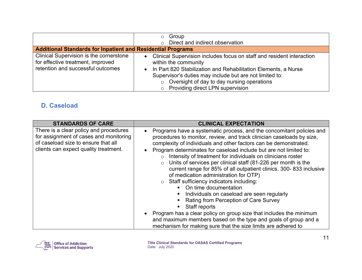| <b>Additional Standards for Inpatient and Residential Programs</b>                                                | Group<br>$\circ$<br>$\circ$ Direct and indirect observation                                                                                                                                                                                                                                                                                      |
|-------------------------------------------------------------------------------------------------------------------|--------------------------------------------------------------------------------------------------------------------------------------------------------------------------------------------------------------------------------------------------------------------------------------------------------------------------------------------------|
| Clinical Supervision is the cornerstone<br>for effective treatment, improved<br>retention and successful outcomes | Clinical Supervision includes focus on staff and resident interaction<br>$\bullet$<br>within the community<br>In Part 820 Stabilization and Rehabilitation Elements, a Nurse<br>$\bullet$<br>Supervisor's duties may include but are not limited to:<br>$\circ$ Oversight of day to day nursing operations<br>o Providing direct LPN supervision |

#### <span id="page-13-0"></span>**D. Caseload**

| <b>STANDARDS OF CARE</b>                                                                                                                                         | <b>CLINICAL EXPECTATION</b>                                                                                                                                                                                                                                                                                                                                                                                                                                                                                                                                                                                                                                                                                                                                                                                                                                                                                                                                     |
|------------------------------------------------------------------------------------------------------------------------------------------------------------------|-----------------------------------------------------------------------------------------------------------------------------------------------------------------------------------------------------------------------------------------------------------------------------------------------------------------------------------------------------------------------------------------------------------------------------------------------------------------------------------------------------------------------------------------------------------------------------------------------------------------------------------------------------------------------------------------------------------------------------------------------------------------------------------------------------------------------------------------------------------------------------------------------------------------------------------------------------------------|
| There is a clear policy and procedures<br>for assignment of cases and monitoring<br>of caseload size to ensure that all<br>clients can expect quality treatment. | Programs have a systematic process, and the concomitant policies and<br>$\bullet$<br>procedures to monitor, review, and track clinician caseloads by size,<br>complexity of individuals and other factors can be demonstrated.<br>Program determinates for caseload include but are not limited to:<br>Intensity of treatment for individuals on clinicians roster<br>$\circ$<br>Units of services per clinical staff (81-226 per month is the<br>$\circ$<br>current range for 85% of all outpatient clinics. 300-833 inclusive<br>of medication administration for OTP)<br>o Staff sufficiency indicators including:<br>On time documentation<br>Individuals on caseload are seen regularly<br>Rating from Perception of Care Survey<br>Staff reports<br>Program has a clear policy on group size that includes the minimum<br>and maximum members based on the type and goals of group and a<br>mechanism for making sure that the size limits are adhered to |

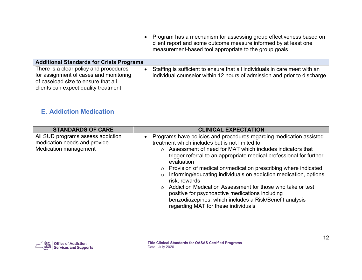|                                                                                                                                                                  | • Program has a mechanism for assessing group effectiveness based on<br>client report and some outcome measure informed by at least one<br>measurement-based tool appropriate to the group goals |  |
|------------------------------------------------------------------------------------------------------------------------------------------------------------------|--------------------------------------------------------------------------------------------------------------------------------------------------------------------------------------------------|--|
| <b>Additional Standards for Crisis Programs</b>                                                                                                                  |                                                                                                                                                                                                  |  |
| There is a clear policy and procedures<br>for assignment of cases and monitoring<br>of caseload size to ensure that all<br>clients can expect quality treatment. | Staffing is sufficient to ensure that all individuals in care meet with an<br>$\bullet$<br>individual counselor within 12 hours of admission and prior to discharge                              |  |

#### <span id="page-14-0"></span>**E. Addiction Medication**

| <b>STANDARDS OF CARE</b>                                                                   | <b>CLINICAL EXPECTATION</b>                                                                                                                                                                                                                                                                                                                                                                                                                                                                                                                                                                                                                                                             |
|--------------------------------------------------------------------------------------------|-----------------------------------------------------------------------------------------------------------------------------------------------------------------------------------------------------------------------------------------------------------------------------------------------------------------------------------------------------------------------------------------------------------------------------------------------------------------------------------------------------------------------------------------------------------------------------------------------------------------------------------------------------------------------------------------|
| All SUD programs assess addiction<br>medication needs and provide<br>Medication management | Programs have policies and procedures regarding medication assisted<br>$\bullet$<br>treatment which includes but is not limited to:<br>o Assessment of need for MAT which includes indicators that<br>trigger referral to an appropriate medical professional for further<br>evaluation<br>$\circ$ Provision of medication/medication prescribing where indicated<br>Informing/educating individuals on addiction medication, options,<br>$\circ$<br>risk, rewards<br>○ Addiction Medication Assessment for those who take or test<br>positive for psychoactive medications including<br>benzodiazepines; which includes a Risk/Benefit analysis<br>regarding MAT for these individuals |

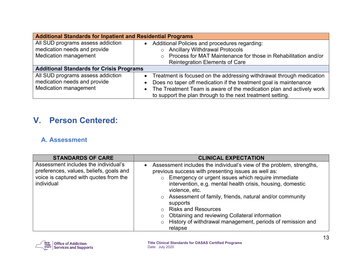| <b>Additional Standards for Inpatient and Residential Programs</b>                                |                                                                                                                                                                                                                                                                                                             |  |
|---------------------------------------------------------------------------------------------------|-------------------------------------------------------------------------------------------------------------------------------------------------------------------------------------------------------------------------------------------------------------------------------------------------------------|--|
| All SUD programs assess addiction<br>medication needs and provide<br><b>Medication management</b> | • Additional Policies and procedures regarding:<br><b>Ancillary Withdrawal Protocols</b><br>$\circ$<br>Process for MAT Maintenance for those in Rehabilitation and/or<br>$\circ$                                                                                                                            |  |
|                                                                                                   | <b>Reintegration Elements of Care</b>                                                                                                                                                                                                                                                                       |  |
| <b>Additional Standards for Crisis Programs</b>                                                   |                                                                                                                                                                                                                                                                                                             |  |
| All SUD programs assess addiction<br>medication needs and provide<br><b>Medication management</b> | • Treatment is focused on the addressing withdrawal through medication<br>Does no taper off medication if the treatment goal is maintenance<br>$\bullet$<br>The Treatment Team is aware of the medication plan and actively work<br>$\bullet$<br>to support the plan through to the next treatment setting. |  |

# <span id="page-15-0"></span>**V. Person Centered:**

#### <span id="page-15-1"></span>**A. Assessment**

| <b>STANDARDS OF CARE</b>                                                                                                                | <b>CLINICAL EXPECTATION</b>                                                                                                                                                                                                                                                                                                                                                                                                                                                                                             |
|-----------------------------------------------------------------------------------------------------------------------------------------|-------------------------------------------------------------------------------------------------------------------------------------------------------------------------------------------------------------------------------------------------------------------------------------------------------------------------------------------------------------------------------------------------------------------------------------------------------------------------------------------------------------------------|
| Assessment includes the individual's<br>preferences, values, beliefs, goals and<br>voice is captured with quotes from the<br>individual | Assessment includes the individual's view of the problem, strengths,<br>$\bullet$<br>previous success with presenting issues as well as:<br>○ Emergency or urgent issues which require immediate<br>intervention, e.g. mental health crisis, housing, domestic<br>violence, etc.<br>o Assessment of family, friends, natural and/or community<br>supports<br>○ Risks and Resources<br>o Obtaining and reviewing Collateral information<br>$\circ$ History of withdrawal management, periods of remission and<br>relapse |

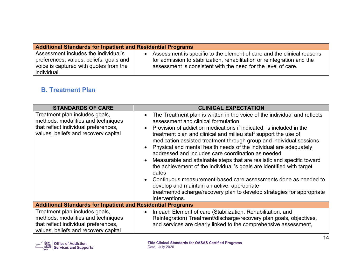| <b>Additional Standards for Inpatient and Residential Programs</b> |                                                                         |
|--------------------------------------------------------------------|-------------------------------------------------------------------------|
| Assessment includes the individual's                               | Assessment is specific to the element of care and the clinical reasons  |
| preferences, values, beliefs, goals and                            | $\bullet$                                                               |
| voice is captured with quotes from the                             | for admission to stabilization, rehabilitation or reintegration and the |
| individual                                                         | assessment is consistent with the need for the level of care.           |

#### <span id="page-16-0"></span>**B. Treatment Plan**

| <b>STANDARDS OF CARE</b>                                                                                                                             | <b>CLINICAL EXPECTATION</b>                                                                                                                                                                                                                                                                                                                                                                                                                                                                                                                                                                                                                                                                                                                                                                                                                                       |
|------------------------------------------------------------------------------------------------------------------------------------------------------|-------------------------------------------------------------------------------------------------------------------------------------------------------------------------------------------------------------------------------------------------------------------------------------------------------------------------------------------------------------------------------------------------------------------------------------------------------------------------------------------------------------------------------------------------------------------------------------------------------------------------------------------------------------------------------------------------------------------------------------------------------------------------------------------------------------------------------------------------------------------|
| Treatment plan includes goals,<br>methods, modalities and techniques<br>that reflect individual preferences,<br>values, beliefs and recovery capital | The Treatment plan is written in the voice of the individual and reflects<br>$\bullet$<br>assessment and clinical formulation<br>Provision of addiction medications if indicated, is included in the<br>$\bullet$<br>treatment plan and clinical and milieu staff support the use of<br>medication assisted treatment through group and individual sessions<br>Physical and mental health needs of the individual are adequately<br>addressed and includes care coordination as needed<br>Measurable and attainable steps that are realistic and specific toward<br>the achievement of the individual 's goals are identified with target<br>dates<br>Continuous measurement-based care assessments done as needed to<br>develop and maintain an active, appropriate<br>treatment/discharge/recovery plan to develop strategies for appropriate<br>interventions. |
| <b>Additional Standards for Inpatient and Residential Programs</b>                                                                                   |                                                                                                                                                                                                                                                                                                                                                                                                                                                                                                                                                                                                                                                                                                                                                                                                                                                                   |
| Treatment plan includes goals,<br>methods, modalities and techniques<br>that reflect individual preferences,<br>values, beliefs and recovery capital | In each Element of care (Stabilization, Rehabilitation, and<br>$\bullet$<br>Reintegration) Treatment/discharge/recovery plan goals, objectives,<br>and services are clearly linked to the comprehensive assessment,                                                                                                                                                                                                                                                                                                                                                                                                                                                                                                                                                                                                                                               |

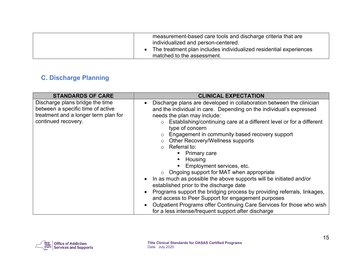| measurement-based care tools and discharge criteria that are<br>individualized and person-centered. |
|-----------------------------------------------------------------------------------------------------|
| The treatment plan includes individualized residential experiences<br>matched to the assessment.    |

## <span id="page-17-0"></span>**C. Discharge Planning**

| <b>STANDARDS OF CARE</b>                                                                                                            | <b>CLINICAL EXPECTATION</b>                                                                                                                                                                                                                                                                                                                                                                                                                                                                                                                                                                                                                                                                                                                                                                                                                                         |
|-------------------------------------------------------------------------------------------------------------------------------------|---------------------------------------------------------------------------------------------------------------------------------------------------------------------------------------------------------------------------------------------------------------------------------------------------------------------------------------------------------------------------------------------------------------------------------------------------------------------------------------------------------------------------------------------------------------------------------------------------------------------------------------------------------------------------------------------------------------------------------------------------------------------------------------------------------------------------------------------------------------------|
| Discharge plans bridge the time<br>between a specific time of active<br>treatment and a longer term plan for<br>continued recovery. | Discharge plans are developed in collaboration between the clinician<br>$\bullet$<br>and the individual in care. Depending on the individual's expressed<br>needs the plan may include:<br>$\circ$ Establishing/continuing care at a different level or for a different<br>type of concern<br>Engagement in community based recovery support<br>$\circ$<br><b>Other Recovery/Wellness supports</b><br>$\circ$ Referral to:<br>• Primary care<br>Housing<br>Employment services, etc.<br>$\circ$ Ongoing support for MAT when appropriate<br>In as much as possible the above supports will be initiated and/or<br>established prior to the discharge date<br>Programs support the bridging process by providing referrals, linkages,<br>and access to Peer Support for engagement purposes<br>Outpatient Programs offer Continuing Care Services for those who wish |
|                                                                                                                                     | for a less intense/frequent support after discharge                                                                                                                                                                                                                                                                                                                                                                                                                                                                                                                                                                                                                                                                                                                                                                                                                 |

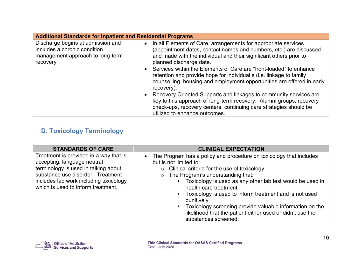| <b>Additional Standards for Inpatient and Residential Programs</b>                                                |                                                                                                                                                                                                                                                                                                                                                                                                                                                                                                                                                                                                                                                                                                                                             |  |
|-------------------------------------------------------------------------------------------------------------------|---------------------------------------------------------------------------------------------------------------------------------------------------------------------------------------------------------------------------------------------------------------------------------------------------------------------------------------------------------------------------------------------------------------------------------------------------------------------------------------------------------------------------------------------------------------------------------------------------------------------------------------------------------------------------------------------------------------------------------------------|--|
| Discharge begins at admission and<br>includes a chronic condition<br>management approach to long-term<br>recovery | In all Elements of Care, arrangements for appropriate services<br>$\bullet$<br>(appointment dates, contact names and numbers, etc.) are discussed<br>and made with the individual and their significant others prior to<br>planned discharge date.<br>Services within the Elements of Care are "front-loaded" to enhance<br>retention and provide hope for individual s (i.e. linkage to family<br>counselling, housing and employment opportunities are offered in early<br>recovery).<br>• Recovery Oriented Supports and linkages to community services are<br>key to this approach of long-term recovery. Alumni groups, recovery<br>check-ups, recovery centers, continuing care strategies should be<br>utilized to enhance outcomes. |  |

## <span id="page-18-0"></span>**D. Toxicology Terminology**

| <b>STANDARDS OF CARE</b>                                                                                                                                                                                                           | <b>CLINICAL EXPECTATION</b>                                                                                                                                                                                                                                                                                                                                                                                                                                                                                                  |
|------------------------------------------------------------------------------------------------------------------------------------------------------------------------------------------------------------------------------------|------------------------------------------------------------------------------------------------------------------------------------------------------------------------------------------------------------------------------------------------------------------------------------------------------------------------------------------------------------------------------------------------------------------------------------------------------------------------------------------------------------------------------|
| Treatment is provided in a way that is<br>accepting; language neutral<br>terminology is used in talking about<br>substance use disorder. Treatment<br>includes lab work including toxicology<br>which is used to inform treatment. | The Program has a policy and procedure on toxicology that includes<br>$\bullet$<br>but is not limited to:<br>$\circ$ Clinical criteria for the use of toxicology<br>o The Program's understanding that:<br>• Toxicology is used as any other lab test would be used in<br>health care treatment<br>• Toxicology is used to inform treatment and is not used<br>punitively<br>• Toxicology screening provide valuable information on the<br>likelihood that the patient either used or didn't use the<br>substances screened. |

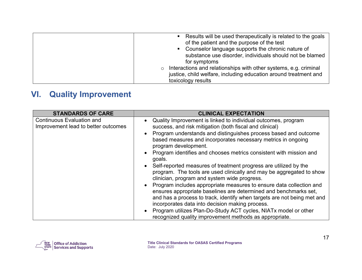| $\circ$<br>toxicology results | Results will be used therapeutically is related to the goals<br>of the patient and the purpose of the test<br>• Counselor language supports the chronic nature of<br>substance use disorder, individuals should not be blamed<br>for symptoms<br>Interactions and relationships with other systems, e.g. criminal<br>justice, child welfare, including education around treatment and |
|-------------------------------|---------------------------------------------------------------------------------------------------------------------------------------------------------------------------------------------------------------------------------------------------------------------------------------------------------------------------------------------------------------------------------------|
|-------------------------------|---------------------------------------------------------------------------------------------------------------------------------------------------------------------------------------------------------------------------------------------------------------------------------------------------------------------------------------------------------------------------------------|

# <span id="page-19-0"></span>**VI. Quality Improvement**

| <b>STANDARDS OF CARE</b>                                                | <b>CLINICAL EXPECTATION</b>                                                                                                                                                                                                                                                                                                                                                                                                                                                                                                                                                                                                                                                                                                                                                                                                                                                                                                                                                                                                                         |
|-------------------------------------------------------------------------|-----------------------------------------------------------------------------------------------------------------------------------------------------------------------------------------------------------------------------------------------------------------------------------------------------------------------------------------------------------------------------------------------------------------------------------------------------------------------------------------------------------------------------------------------------------------------------------------------------------------------------------------------------------------------------------------------------------------------------------------------------------------------------------------------------------------------------------------------------------------------------------------------------------------------------------------------------------------------------------------------------------------------------------------------------|
| <b>Continuous Evaluation and</b><br>Improvement lead to better outcomes | Quality Improvement is linked to individual outcomes, program<br>$\bullet$<br>success, and risk mitigation (both fiscal and clinical)<br>Program understands and distinguishes process based and outcome<br>$\bullet$<br>based measures and incorporates necessary metrics in ongoing<br>program development.<br>Program identifies and chooses metrics consistent with mission and<br>$\bullet$<br>goals.<br>Self-reported measures of treatment progress are utilized by the<br>$\bullet$<br>program. The tools are used clinically and may be aggregated to show<br>clinician, program and system wide progress.<br>Program includes appropriate measures to ensure data collection and<br>$\bullet$<br>ensures appropriate baselines are determined and benchmarks set,<br>and has a process to track, identify when targets are not being met and<br>incorporates data into decision making process.<br>Program utilizes Plan-Do-Study ACT cycles, NIATx model or other<br>$\bullet$<br>recognized quality improvement methods as appropriate. |

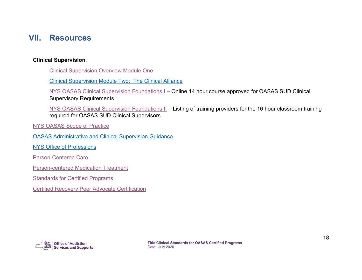## <span id="page-20-0"></span>**VII. Resources**

#### **Clinical Supervision**:

[Clinical Supervision Overview Module One](https://youtu.be/HeofpvDJtm0)

[Clinical Supervision Module Two: The Clinical Alliance](https://youtu.be/o1dG9fa40TE)

[NYS OASAS Clinical Supervision Foundations I](https://healtheknowledge.org/course/index.php?categoryid=74) – Online 14 hour course approved for OASAS SUD Clinical Supervisory Requirements

[NYS OASAS Clinical Supervision Foundations II](https://webapps.oasas.ny.gov/training/providers.cfm?providerType=CSF2) – Listing of training providers for the 16 hour classroom training required for OASAS SUD Clinical Supervisors

[NYS OASAS Scope of Practice](https://oasas.ny.gov/credentialing/scopes-practice)

OASAS [Administrative and Clinical Supervision Guidance](https://oasas.ny.gov/credentialing/administrative-and-clinical-supervision)

[NYS Office of Professions](http://www.op.nysed.gov/) 

[Person-Centered Care](https://oasas.ny.gov/person-centered-care)

[Person-centered Medication Treatment](https://oasas.ny.gov/person-centered-medication-treatment)

**[Standards for Certified Programs](https://oasas.ny.gov/legal/standards-certified-programs)** 

[Certified Recovery Peer Advocate Certification](https://oasas.ny.gov/recovery/become-certified-recovery-peer-advocate) 

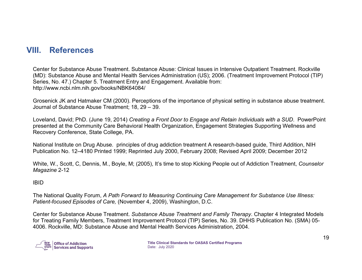## <span id="page-21-0"></span>**VIII. References**

Center for Substance Abuse Treatment. Substance Abuse: Clinical Issues in Intensive Outpatient Treatment. Rockville (MD): Substance Abuse and Mental Health Services Administration (US); 2006. (Treatment Improvement Protocol (TIP) Series, No. 47.) Chapter 5. Treatment Entry and Engagement. Available from: http://www.ncbi.nlm.nih.gov/books/NBK64084/

Grosenick JK and Hatmaker CM (2000). Perceptions of the importance of physical setting in substance abuse treatment. Journal of Substance Abuse Treatment; 18, 29 – 39.

Loveland, David; PhD. (June 19, 2014) *Creating a Front Door to Engage and Retain Individuals with a SUD*. PowerPoint presented at the Community Care Behavioral Health Organization, Engagement Strategies Supporting Wellness and Recovery Conference, State College, PA.

National Institute on Drug Abuse. principles of drug addiction treatment A research-based guide, Third Addition, NIH Publication No. 12–4180 Printed 1999; Reprinted July 2000, February 2008; Revised April 2009; December 2012

White, W., Scott, C, Dennis, M., Boyle, M; (2005), It's time to stop Kicking People out of Addiction Treatment, *Counselor Magazine* 2-12

#### IBID

The National Quality Forum, *A Path Forward to Measuring Continuing Care Management for Substance Use Illness: Patient-focused Episodes of Care,* (November 4, 2009), Washington, D.C.

Center for Substance Abuse Treatment. *Substance Abuse Treatment and Family Therapy*. Chapter 4 Integrated Models for Treating Family Members, Treatment Improvement Protocol (TIP) Series, No. 39. DHHS Publication No. (SMA) 05- 4006. Rockville, MD: Substance Abuse and Mental Health Services Administration, 2004.

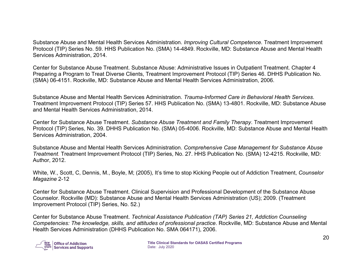Substance Abuse and Mental Health Services Administration. *Improving Cultural Competence.* Treatment Improvement Protocol (TIP) Series No. 59. HHS Publication No. (SMA) 14-4849. Rockville, MD: Substance Abuse and Mental Health Services Administration, 2014.

Center for Substance Abuse Treatment. Substance Abuse: Administrative Issues in Outpatient Treatment. Chapter 4 Preparing a Program to Treat Diverse Clients, Treatment Improvement Protocol (TIP) Series 46. DHHS Publication No. (SMA) 06-4151. Rockville, MD: Substance Abuse and Mental Health Services Administration, 2006.

Substance Abuse and Mental Health Services Administration. *Trauma-Informed Care in Behavioral Health Services*. Treatment Improvement Protocol (TIP) Series 57. HHS Publication No. (SMA) 13-4801. Rockville, MD: Substance Abuse and Mental Health Services Administration, 2014.

Center for Substance Abuse Treatment. *Substance Abuse Treatment and Family Therapy*. Treatment Improvement Protocol (TIP) Series, No. 39. DHHS Publication No. (SMA) 05-4006. Rockville, MD: Substance Abuse and Mental Health Services Administration, 2004.

Substance Abuse and Mental Health Services Administration. *Comprehensive Case Management for Substance Abuse Treatment.* Treatment Improvement Protocol (TIP) Series, No. 27. HHS Publication No. (SMA) 12-4215. Rockville, MD: Author, 2012.

White, W., Scott, C, Dennis, M., Boyle, M; (2005), It's time to stop Kicking People out of Addiction Treatment, *Counselor Magazine* 2-12

Center for Substance Abuse Treatment. Clinical Supervision and Professional Development of the Substance Abuse Counselor. Rockville (MD): Substance Abuse and Mental Health Services Administration (US); 2009. (Treatment Improvement Protocol (TIP) Series, No. 52.)

Center for Substance Abuse Treatment. *Technical Assistance Publication (TAP) Series 21, Addiction Counseling Competencies: The knowledge, skills, and attitudes of professional practice*. Rockville, MD: Substance Abuse and Mental Health Services Administration (DHHS Publication No. SMA 064171), 2006.

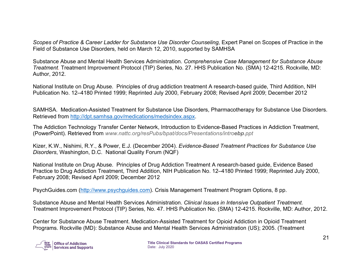*Scopes of Practice & Career Ladder for Substance Use Disorder Counseling,* Expert Panel on Scopes of Practice in the Field of Substance Use Disorders*,* held on March 12, 2010, supported by SAMHSA

Substance Abuse and Mental Health Services Administration. *Comprehensive Case Management for Substance Abuse Treatment.* Treatment Improvement Protocol (TIP) Series, No. 27. HHS Publication No. (SMA) 12-4215. Rockville, MD: Author, 2012.

National Institute on Drug Abuse. Principles of drug addiction treatment A research-based guide, Third Addition, NIH Publication No. 12–4180 Printed 1999; Reprinted July 2000, February 2008; Revised April 2009; December 2012

SAMHSA. Medication-Assisted Treatment for Substance Use Disorders, Pharmacotherapy for Substance Use Disorders. Retrieved from [http://dpt.samhsa.gov/medications/medsindex.aspx.](http://dpt.samhsa.gov/medications/medsindex.aspx)

The Addiction Technology Transfer Center Network, Introduction to Evidence-Based Practices in Addiction Treatment, (PowerPoint). Retrieved from *www.nattc.org/resPubs/bpat/docs/Presentations/introebp.ppt*

Kizer, K.W., Nishimi, R.Y., & Power, E.J. (December 2004). *Evidence-Based Treatment Practices for Substance Use Disorders*, Washington, D.C. National Quality Forum (NQF)

National Institute on Drug Abuse. Principles of Drug Addiction Treatment A research-based guide, Evidence Based Practice to Drug Addiction Treatment, Third Addition, NIH Publication No. 12–4180 Printed 1999; Reprinted July 2000, February 2008; Revised April 2009; December 2012

PsychGuides.com [\(http://www.psychguides.com\)](http://www.psychguides.com/). Crisis Management Treatment Program Options, 8 pp.

Substance Abuse and Mental Health Services Administration. *Clinical Issues in Intensive Outpatient Treatment.*  Treatment Improvement Protocol (TIP) Series, No. 47. HHS Publication No. (SMA) 12-4215. Rockville, MD: Author, 2012.

Center for Substance Abuse Treatment. Medication-Assisted Treatment for Opioid Addiction in Opioid Treatment Programs. Rockville (MD): Substance Abuse and Mental Health Services Administration (US); 2005. (Treatment

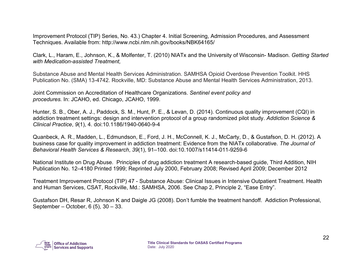Improvement Protocol (TIP) Series, No. 43.) Chapter 4. Initial Screening, Admission Procedures, and Assessment Techniques. Available from: http://www.ncbi.nlm.nih.gov/books/NBK64165/

Clark, L., Haram, E., Johnson, K., & Molfenter, T. (2010) NIATx and the University of Wisconsin- Madison. *Getting Started with Medication-assisted Treatment,*

Substance Abuse and Mental Health Services Administration. SAMHSA Opioid Overdose Prevention Toolkit. HHS Publication No. (SMA) 13-4742. Rockville, MD: Substance Abuse and Mental Health Services Administration, 2013.

Joint Commission on Accreditation of Healthcare Organizations. *Sentinel event policy and procedures.* In: JCAHO, ed. Chicago, JCAHO, 1999.

Hunter, S. B., Ober, A. J., Paddock, S. M., Hunt, P. E., & Levan, D. (2014). Continuous quality improvement (CQI) in addiction treatment settings: design and intervention protocol of a group randomized pilot study. *Addiction Science & Clinical Practice*, *9*(1), 4. doi:10.1186/1940-0640-9-4

Quanbeck, A. R., Madden, L., Edmundson, E., Ford, J. H., McConnell, K. J., McCarty, D., & Gustafson, D. H. (2012). A business case for quality improvement in addiction treatment: Evidence from the NIATx collaborative. *The Journal of Behavioral Health Services & Research*, *39*(1), 91–100. doi:10.1007/s11414-011-9259-6

National Institute on Drug Abuse. Principles of drug addiction treatment A research-based guide, Third Addition, NIH Publication No. 12–4180 Printed 1999; Reprinted July 2000, February 2008; Revised April 2009; December 2012

Treatment Improvement Protocol (TIP) 47 - Substance Abuse: Clinical Issues in Intensive Outpatient Treatment. Health and Human Services, CSAT, Rockville, Md.: SAMHSA, 2006. See Chap 2, Principle 2, "Ease Entry".

Gustafson DH, Resar R, Johnson K and Daigle JG (2008). Don't fumble the treatment handoff. Addiction Professional, September – October, 6 (5), 30 – 33.

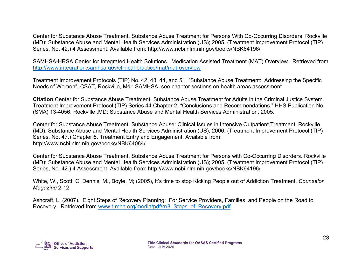Center for Substance Abuse Treatment. Substance Abuse Treatment for Persons With Co-Occurring Disorders. Rockville (MD): Substance Abuse and Mental Health Services Administration (US); 2005. (Treatment Improvement Protocol (TIP) Series, No. 42.) 4 Assessment. Available from: http://www.ncbi.nlm.nih.gov/books/NBK64196/

SAMHSA-HRSA Center for Integrated Health Solutions. Medication Assisted Treatment (MAT) Overview. Retrieved from <http://www.integration.samhsa.gov/clinical-practice/mat/mat-overview>

Treatment Improvement Protocols (TIP) No. 42, 43, 44, and 51, "Substance Abuse Treatment: Addressing the Specific Needs of Women". CSAT, Rockville, Md.: SAMHSA, see chapter sections on health areas assessment

**Citation** Center for Substance Abuse Treatment. Substance Abuse Treatment for Adults in the Criminal Justice System. Treatment Improvement Protocol (TIP) Series 44 Chapter 2, "Conclusions and Recommendations." HHS Publication No. (SMA) 13-4056. Rockville ,MD: Substance Abuse and Mental Health Services Administration, 2005.

Center for Substance Abuse Treatment. Substance Abuse: Clinical Issues in Intensive Outpatient Treatment. Rockville (MD): Substance Abuse and Mental Health Services Administration (US); 2006. (Treatment Improvement Protocol (TIP) Series, No. 47.) Chapter 5. Treatment Entry and Engagement. Available from: http://www.ncbi.nlm.nih.gov/books/NBK64084/

Center for Substance Abuse Treatment. Substance Abuse Treatment for Persons with Co-Occurring Disorders. Rockville (MD): Substance Abuse and Mental Health Services Administration (US); 2005. (Treatment Improvement Protocol (TIP) Series, No. 42.) 4 Assessment. Available from: http://www.ncbi.nlm.nih.gov/books/NBK64196/

White, W., Scott, C, Dennis, M., Boyle, M; (2005), It's time to stop Kicking People out of Addiction Treatment, *Counselor Magazine* 2-12

Ashcraft, L. (2007). Eight Steps of Recovery Planning: For Service Providers, Families, and People on the Road to Recovery. Retrieved from www.t-mha.org/media/pdf/rr/8 Steps of Recovery.pdf